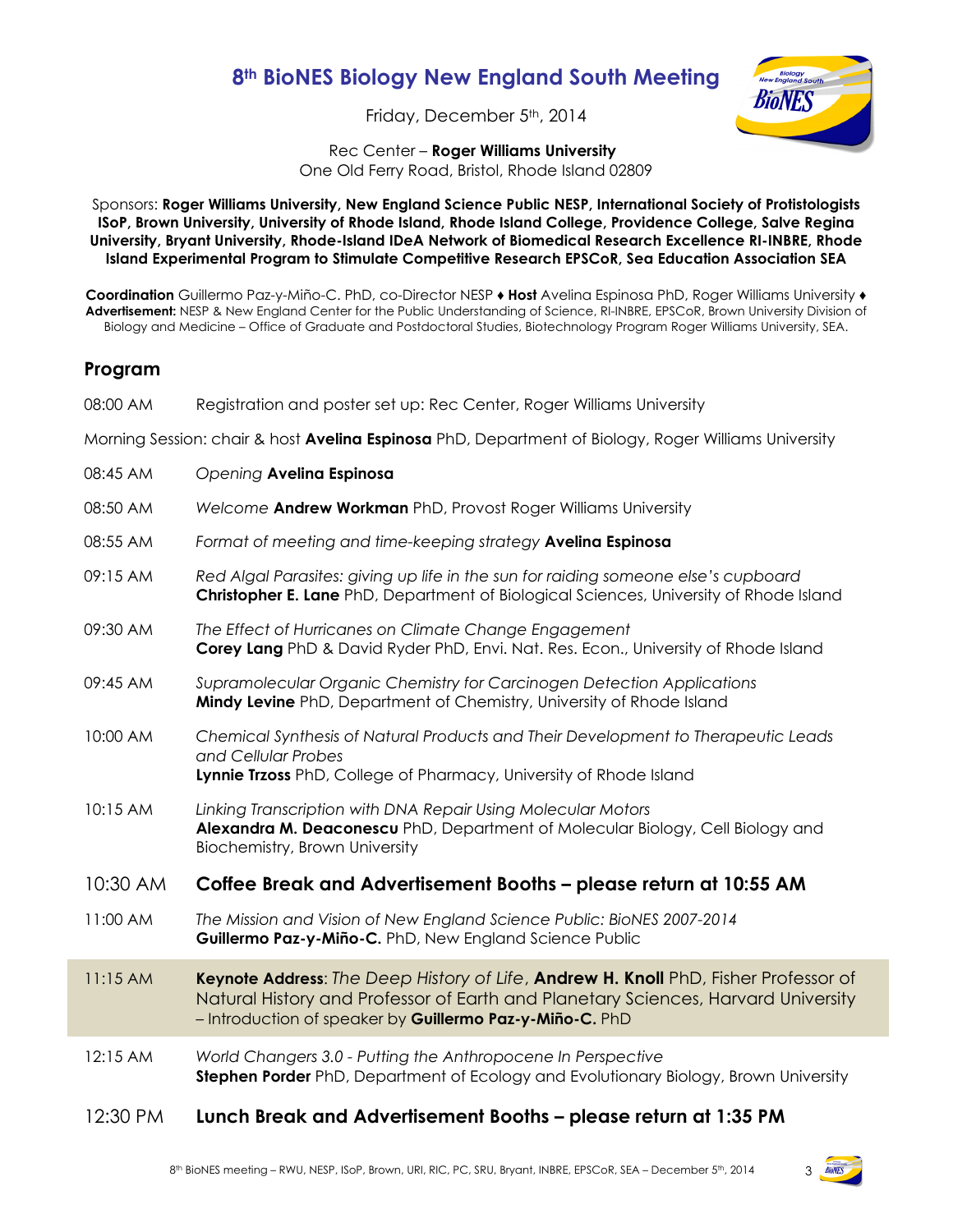## **8th BioNES Biology New England South Meeting**

Friday, December 5<sup>th</sup>, 2014



Rec Center – **Roger Williams University**

One Old Ferry Road, Bristol, Rhode Island 02809

Sponsors: **Roger Williams University, New England Science Public NESP, International Society of Protistologists ISoP, Brown University, University of Rhode Island, Rhode Island College, Providence College, Salve Regina University, Bryant University, Rhode-Island IDeA Network of Biomedical Research Excellence RI-INBRE, Rhode Island Experimental Program to Stimulate Competitive Research EPSCoR, Sea Education Association SEA** 

**Coordination** Guillermo Paz-y-Miño-C. PhD, co-Director NESP ♦ **Host** Avelina Espinosa PhD, Roger Williams University ♦ **Advertisement:** NESP & New England Center for the Public Understanding of Science, RI-INBRE, EPSCoR, Brown University Division of Biology and Medicine – Office of Graduate and Postdoctoral Studies, Biotechnology Program Roger Williams University, SEA.

## **Program**

| 08:00 AM                                                                                             | Registration and poster set up: Rec Center, Roger Williams University                                                                                                                                                                |  |
|------------------------------------------------------------------------------------------------------|--------------------------------------------------------------------------------------------------------------------------------------------------------------------------------------------------------------------------------------|--|
| Morning Session: chair & host Avelina Espinosa PhD, Department of Biology, Roger Williams University |                                                                                                                                                                                                                                      |  |
| 08:45 AM                                                                                             | Opening Avelina Espinosa                                                                                                                                                                                                             |  |
| 08:50 AM                                                                                             | Welcome Andrew Workman PhD, Provost Roger Williams University                                                                                                                                                                        |  |
| 08:55 AM                                                                                             | Format of meeting and time-keeping strategy Avelina Espinosa                                                                                                                                                                         |  |
| 09:15 AM                                                                                             | Red Algal Parasites: giving up life in the sun for raiding someone else's cupboard<br>Christopher E. Lane PhD, Department of Biological Sciences, University of Rhode Island                                                         |  |
| 09:30 AM                                                                                             | The Effect of Hurricanes on Climate Change Engagement<br>Corey Lang PhD & David Ryder PhD, Envi. Nat. Res. Econ., University of Rhode Island                                                                                         |  |
| 09:45 AM                                                                                             | Supramolecular Organic Chemistry for Carcinogen Detection Applications<br>Mindy Levine PhD, Department of Chemistry, University of Rhode Island                                                                                      |  |
| 10:00 AM                                                                                             | Chemical Synthesis of Natural Products and Their Development to Therapeutic Leads<br>and Cellular Probes<br>Lynnie Trzoss PhD, College of Pharmacy, University of Rhode Island                                                       |  |
| 10:15 AM                                                                                             | Linking Transcription with DNA Repair Using Molecular Motors<br>Alexandra M. Deaconescu PhD, Department of Molecular Biology, Cell Biology and<br>Biochemistry, Brown University                                                     |  |
| 10:30 AM                                                                                             | Coffee Break and Advertisement Booths - please return at 10:55 AM                                                                                                                                                                    |  |
| 11:00 AM                                                                                             | The Mission and Vision of New England Science Public: BioNES 2007-2014<br>Guillermo Paz-y-Miño-C. PhD, New England Science Public                                                                                                    |  |
| 11:15AM                                                                                              | Keynote Address: The Deep History of Life, Andrew H. Knoll PhD, Fisher Professor of<br>Natural History and Professor of Earth and Planetary Sciences, Harvard University<br>- Introduction of speaker by Guillermo Paz-y-Miño-C. PhD |  |
| 12:15 AM                                                                                             | World Changers 3.0 - Putting the Anthropocene In Perspective<br>Stephen Porder PhD, Department of Ecology and Evolutionary Biology, Brown University                                                                                 |  |